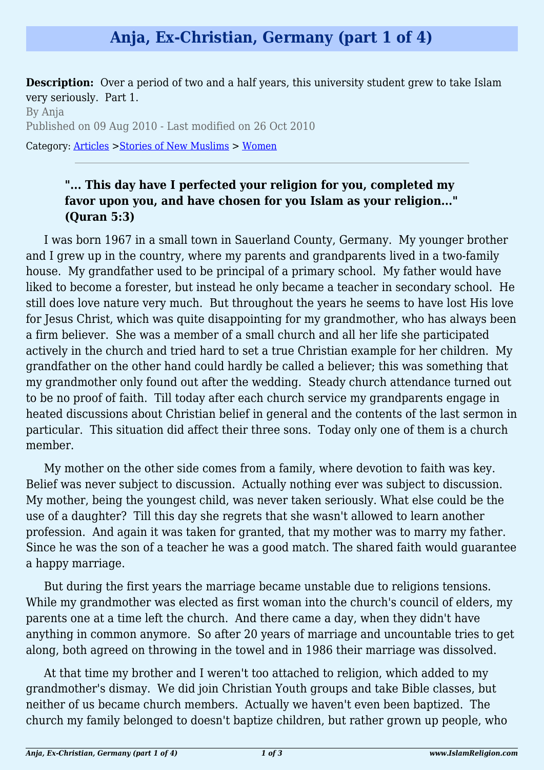## **Anja, Ex-Christian, Germany (part 1 of 4)**

**Description:** Over a period of two and a half years, this university student grew to take Islam very seriously. Part 1.

By Anja Published on 09 Aug 2010 - Last modified on 26 Oct 2010 Category: [Articles](http://www.islamreligion.com/articles/) >[Stories of New Muslims](http://www.islamreligion.com/category/63/) > [Women](http://www.islamreligion.com/category/65/)

## **"... This day have I perfected your religion for you, completed my favor upon you, and have chosen for you Islam as your religion..." (Quran 5:3)**

I was born 1967 in a small town in Sauerland County, Germany. My younger brother and I grew up in the country, where my parents and grandparents lived in a two-family house. My grandfather used to be principal of a primary school. My father would have liked to become a forester, but instead he only became a teacher in secondary school. He still does love nature very much. But throughout the years he seems to have lost His love for Jesus Christ, which was quite disappointing for my grandmother, who has always been a firm believer. She was a member of a small church and all her life she participated actively in the church and tried hard to set a true Christian example for her children. My grandfather on the other hand could hardly be called a believer; this was something that my grandmother only found out after the wedding. Steady church attendance turned out to be no proof of faith. Till today after each church service my grandparents engage in heated discussions about Christian belief in general and the contents of the last sermon in particular. This situation did affect their three sons. Today only one of them is a church member.

My mother on the other side comes from a family, where devotion to faith was key. Belief was never subject to discussion. Actually nothing ever was subject to discussion. My mother, being the youngest child, was never taken seriously. What else could be the use of a daughter? Till this day she regrets that she wasn't allowed to learn another profession. And again it was taken for granted, that my mother was to marry my father. Since he was the son of a teacher he was a good match. The shared faith would guarantee a happy marriage.

But during the first years the marriage became unstable due to religions tensions. While my grandmother was elected as first woman into the church's council of elders, my parents one at a time left the church. And there came a day, when they didn't have anything in common anymore. So after 20 years of marriage and uncountable tries to get along, both agreed on throwing in the towel and in 1986 their marriage was dissolved.

At that time my brother and I weren't too attached to religion, which added to my grandmother's dismay. We did join Christian Youth groups and take Bible classes, but neither of us became church members. Actually we haven't even been baptized. The church my family belonged to doesn't baptize children, but rather grown up people, who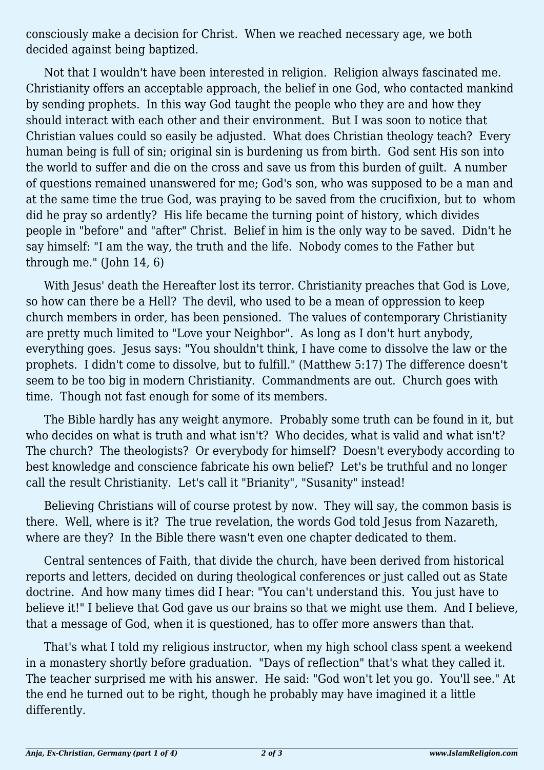consciously make a decision for Christ. When we reached necessary age, we both decided against being baptized.

Not that I wouldn't have been interested in religion. Religion always fascinated me. Christianity offers an acceptable approach, the belief in one God, who contacted mankind by sending prophets. In this way God taught the people who they are and how they should interact with each other and their environment. But I was soon to notice that Christian values could so easily be adjusted. What does Christian theology teach? Every human being is full of sin; original sin is burdening us from birth. God sent His son into the world to suffer and die on the cross and save us from this burden of guilt. A number of questions remained unanswered for me; God's son, who was supposed to be a man and at the same time the true God, was praying to be saved from the crucifixion, but to whom did he pray so ardently? His life became the turning point of history, which divides people in "before" and "after" Christ. Belief in him is the only way to be saved. Didn't he say himself: "I am the way, the truth and the life. Nobody comes to the Father but through me." (John 14, 6)

With Jesus' death the Hereafter lost its terror. Christianity preaches that God is Love, so how can there be a Hell? The devil, who used to be a mean of oppression to keep church members in order, has been pensioned. The values of contemporary Christianity are pretty much limited to "Love your Neighbor". As long as I don't hurt anybody, everything goes. Jesus says: "You shouldn't think, I have come to dissolve the law or the prophets. I didn't come to dissolve, but to fulfill." (Matthew 5:17) The difference doesn't seem to be too big in modern Christianity. Commandments are out. Church goes with time. Though not fast enough for some of its members.

The Bible hardly has any weight anymore. Probably some truth can be found in it, but who decides on what is truth and what isn't? Who decides, what is valid and what isn't? The church? The theologists? Or everybody for himself? Doesn't everybody according to best knowledge and conscience fabricate his own belief? Let's be truthful and no longer call the result Christianity. Let's call it "Brianity", "Susanity" instead!

Believing Christians will of course protest by now. They will say, the common basis is there. Well, where is it? The true revelation, the words God told Jesus from Nazareth, where are they? In the Bible there wasn't even one chapter dedicated to them.

Central sentences of Faith, that divide the church, have been derived from historical reports and letters, decided on during theological conferences or just called out as State doctrine. And how many times did I hear: "You can't understand this. You just have to believe it!" I believe that God gave us our brains so that we might use them. And I believe, that a message of God, when it is questioned, has to offer more answers than that.

That's what I told my religious instructor, when my high school class spent a weekend in a monastery shortly before graduation. "Days of reflection" that's what they called it. The teacher surprised me with his answer. He said: "God won't let you go. You'll see." At the end he turned out to be right, though he probably may have imagined it a little differently.